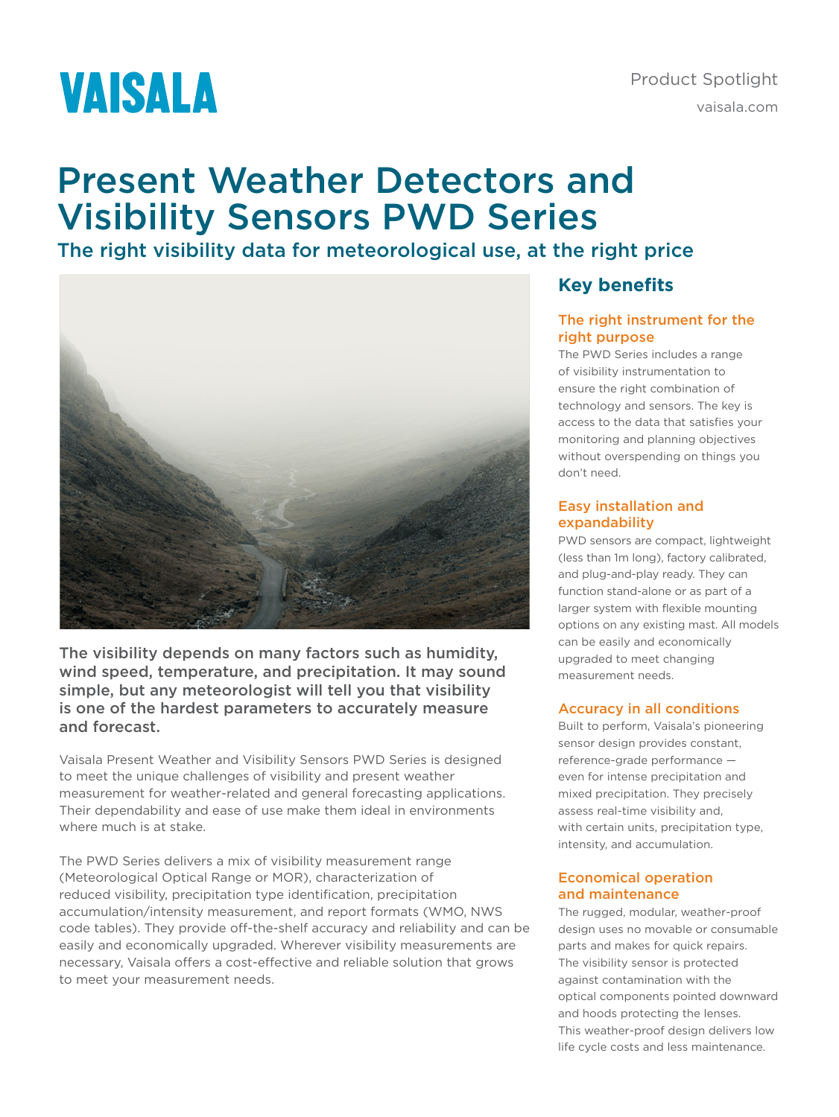# **VAISALA**

# Present Weather Detectors and Visibility Sensors PWD Series

# The right visibility data for meteorological use, at the right price



The visibility depends on many factors such as humidity, wind speed, temperature, and precipitation. It may sound simple, but any meteorologist will tell you that visibility is one of the hardest parameters to accurately measure and forecast.

Vaisala Present Weather and Visibility Sensors PWD Series is designed to meet the unique challenges of visibility and present weather measurement for weather-related and general forecasting applications. Their dependability and ease of use make them ideal in environments where much is at stake.

The PWD Series delivers a mix of visibility measurement range (Meteorological Optical Range or MOR), characterization of reduced visibility, precipitation type identification, precipitation accumulation/intensity measurement, and report formats (WMO, NWS code tables). They provide off-the-shelf accuracy and reliability and can be easily and economically upgraded. Wherever visibility measurements are necessary, Vaisala offers a cost-effective and reliable solution that grows to meet your measurement needs.

### **Key benefits**

#### The right instrument for the right purpose

The PWD Series includes a range of visibility instrumentation to ensure the right combination of technology and sensors. The key is access to the data that satisfies your monitoring and planning objectives without overspending on things you don't need.

#### Easy installation and expandability

PWD sensors are compact, lightweight (less than 1m long), factory calibrated, and plug-and-play ready. They can function stand-alone or as part of a larger system with flexible mounting options on any existing mast. All models can be easily and economically upgraded to meet changing measurement needs.

#### Accuracy in all conditions

Built to perform, Vaisala's pioneering sensor design provides constant, reference-grade performance even for intense precipitation and mixed precipitation. They precisely assess real-time visibility and, with certain units, precipitation type, intensity, and accumulation.

#### Economical operation and maintenance

The rugged, modular, weather-proof design uses no movable or consumable parts and makes for quick repairs. The visibility sensor is protected against contamination with the optical components pointed downward and hoods protecting the lenses. This weather-proof design delivers low life cycle costs and less maintenance.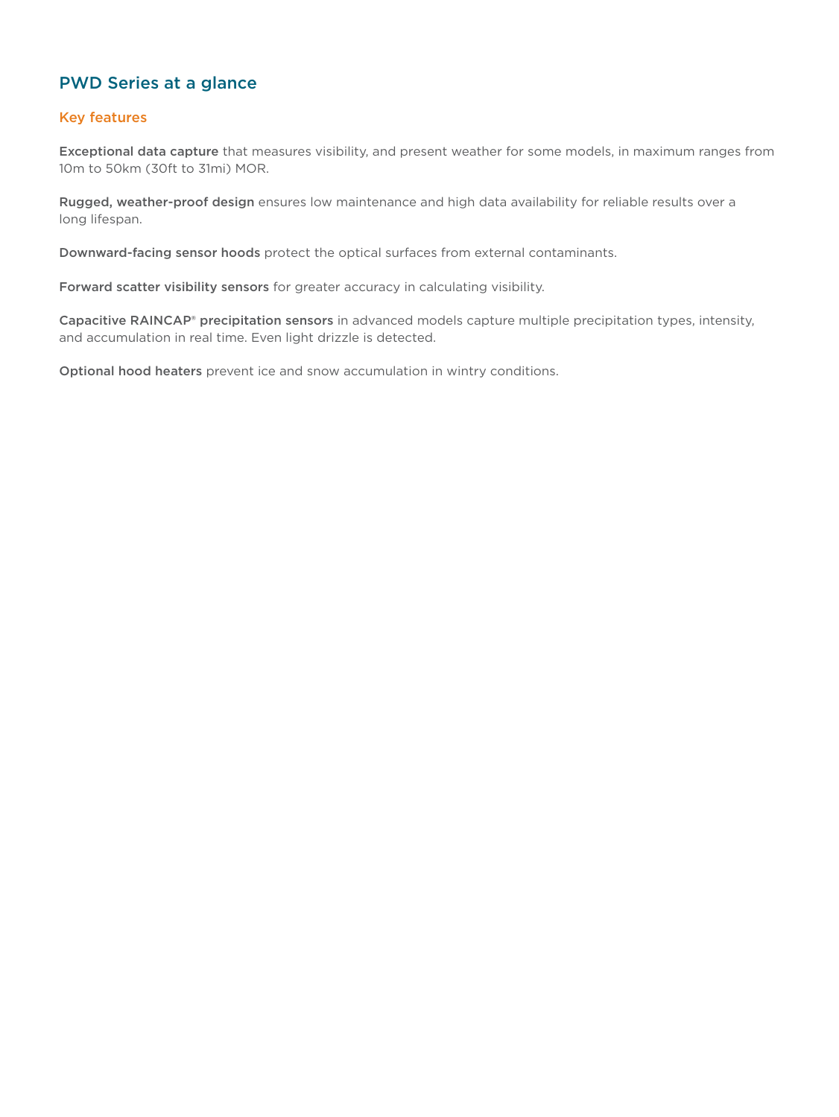### PWD Series at a glance

#### Key features

Exceptional data capture that measures visibility, and present weather for some models, in maximum ranges from 10m to 50km (30ft to 31mi) MOR.

Rugged, weather-proof design ensures low maintenance and high data availability for reliable results over a long lifespan.

Downward-facing sensor hoods protect the optical surfaces from external contaminants.

Forward scatter visibility sensors for greater accuracy in calculating visibility.

Capacitive RAINCAP® precipitation sensors in advanced models capture multiple precipitation types, intensity, and accumulation in real time. Even light drizzle is detected.

Optional hood heaters prevent ice and snow accumulation in wintry conditions.